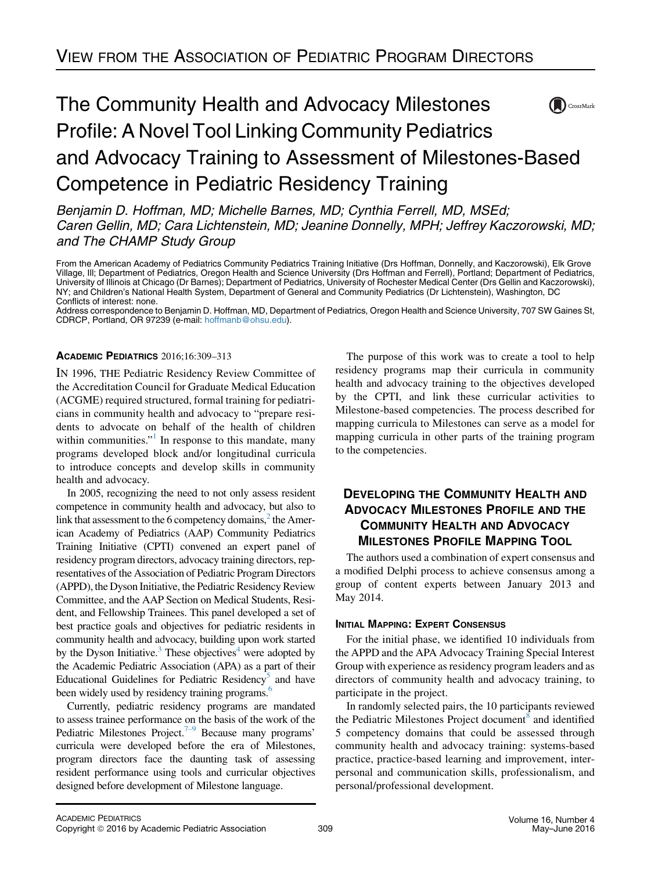# The Community Health and Advocacy Milestones  $\sum$ CrossMark Profile: A Novel Tool Linking Community Pediatrics and Advocacy Training to Assessment of Milestones-Based Competence in Pediatric Residency Training

Benjamin D. Hoffman, MD; Michelle Barnes, MD; Cynthia Ferrell, MD, MSEd; Caren Gellin, MD; Cara Lichtenstein, MD; Jeanine Donnelly, MPH; Jeffrey Kaczorowski, MD; and The CHAMP Study Group

From the American Academy of Pediatrics Community Pediatrics Training Initiative (Drs Hoffman, Donnelly, and Kaczorowski), Elk Grove Village, Ill; Department of Pediatrics, Oregon Health and Science University (Drs Hoffman and Ferrell), Portland; Department of Pediatrics, University of Illinois at Chicago (Dr Barnes); Department of Pediatrics, University of Rochester Medical Center (Drs Gellin and Kaczorowski), NY; and Children's National Health System, Department of General and Community Pediatrics (Dr Lichtenstein), Washington, DC Conflicts of interest: none.

Address correspondence to Benjamin D. Hoffman, MD, Department of Pediatrics, Oregon Health and Science University, 707 SW Gaines St, CDRCP, Portland, OR 97239 (e-mail: [hoffmanb@ohsu.edu](mailto:hoffmanb@ohsu.edu)).

### ACADEMIC PEDIATRICS 2016;16:309–313

IN 1996, THE Pediatric Residency Review Committee of the Accreditation Council for Graduate Medical Education (ACGME) required structured, formal training for pediatricians in community health and advocacy to "prepare residents to advocate on behalf of the health of children within communities."<sup>[1](#page-4-0)</sup> In response to this mandate, many programs developed block and/or longitudinal curricula to introduce concepts and develop skills in community health and advocacy.

In 2005, recognizing the need to not only assess resident competence in community health and advocacy, but also to link that assessment to the 6 competency domains, $<sup>2</sup>$  $<sup>2</sup>$  $<sup>2</sup>$  the Amer-</sup> ican Academy of Pediatrics (AAP) Community Pediatrics Training Initiative (CPTI) convened an expert panel of residency program directors, advocacy training directors, representatives of the Association of Pediatric Program Directors (APPD), the Dyson Initiative, the Pediatric Residency Review Committee, and the AAP Section on Medical Students, Resident, and Fellowship Trainees. This panel developed a set of best practice goals and objectives for pediatric residents in community health and advocacy, building upon work started by the Dyson Initiative.<sup>[3](#page-4-0)</sup> These objectives<sup>4</sup> were adopted by the Academic Pediatric Association (APA) as a part of their Educational Guidelines for Pediatric Residency<sup>5</sup> and have been widely used by residency training programs.<sup>6</sup>

Currently, pediatric residency programs are mandated to assess trainee performance on the basis of the work of the Pediatric Milestones Project. $7-9$  Because many programs' curricula were developed before the era of Milestones, program directors face the daunting task of assessing resident performance using tools and curricular objectives designed before development of Milestone language.

The purpose of this work was to create a tool to help residency programs map their curricula in community health and advocacy training to the objectives developed by the CPTI, and link these curricular activities to Milestone-based competencies. The process described for mapping curricula to Milestones can serve as a model for mapping curricula in other parts of the training program to the competencies.

# DEVELOPING THE COMMUNITY HEALTH AND ADVOCACY MILESTONES PROFILE AND THE COMMUNITY HEALTH AND ADVOCACY MILESTONES PROFILE MAPPING TOOL

The authors used a combination of expert consensus and a modified Delphi process to achieve consensus among a group of content experts between January 2013 and May 2014.

### INITIAL MAPPING: EXPERT CONSENSUS

For the initial phase, we identified 10 individuals from the APPD and the APA Advocacy Training Special Interest Group with experience as residency program leaders and as directors of community health and advocacy training, to participate in the project.

In randomly selected pairs, the 10 participants reviewed the Pediatric Milestones Project document<sup>[8](#page-4-0)</sup> and identified 5 competency domains that could be assessed through community health and advocacy training: systems-based practice, practice-based learning and improvement, interpersonal and communication skills, professionalism, and personal/professional development.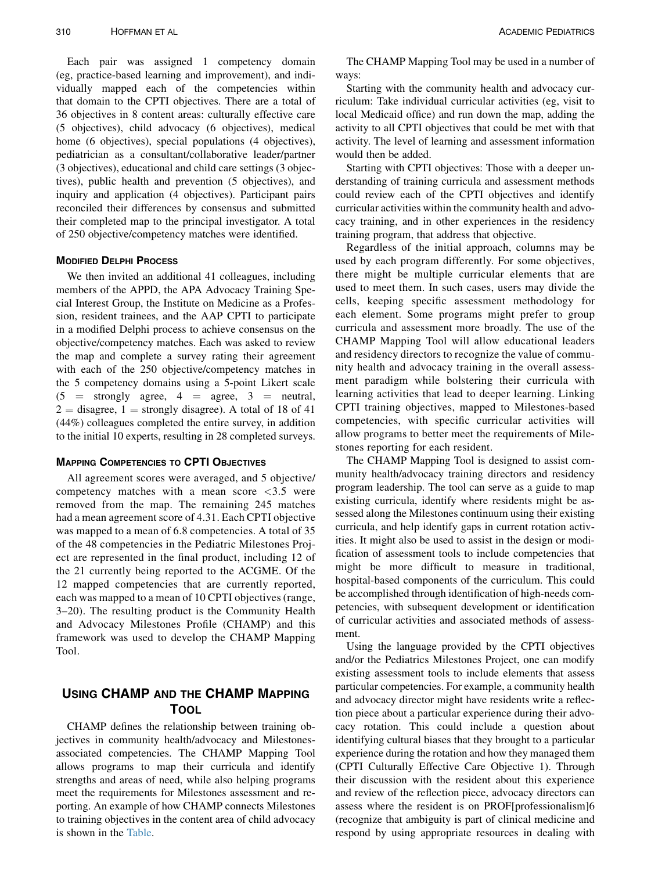Each pair was assigned 1 competency domain (eg, practice-based learning and improvement), and individually mapped each of the competencies within that domain to the CPTI objectives. There are a total of 36 objectives in 8 content areas: culturally effective care (5 objectives), child advocacy (6 objectives), medical home (6 objectives), special populations (4 objectives), pediatrician as a consultant/collaborative leader/partner (3 objectives), educational and child care settings (3 objectives), public health and prevention (5 objectives), and inquiry and application (4 objectives). Participant pairs reconciled their differences by consensus and submitted their completed map to the principal investigator. A total of 250 objective/competency matches were identified.

#### MODIFIED DELPHI PROCESS

We then invited an additional 41 colleagues, including members of the APPD, the APA Advocacy Training Special Interest Group, the Institute on Medicine as a Profession, resident trainees, and the AAP CPTI to participate in a modified Delphi process to achieve consensus on the objective/competency matches. Each was asked to review the map and complete a survey rating their agreement with each of the 250 objective/competency matches in the 5 competency domains using a 5-point Likert scale  $(5$  = strongly agree, 4 = agree, 3 = neutral,  $2 =$  disagree,  $1 =$  strongly disagree). A total of 18 of 41 (44%) colleagues completed the entire survey, in addition to the initial 10 experts, resulting in 28 completed surveys.

### MAPPING COMPETENCIES TO CPTI OBJECTIVES

All agreement scores were averaged, and 5 objective/ competency matches with a mean score  $\langle 3.5 \rangle$  were removed from the map. The remaining 245 matches had a mean agreement score of 4.31. Each CPTI objective was mapped to a mean of 6.8 competencies. A total of 35 of the 48 competencies in the Pediatric Milestones Project are represented in the final product, including 12 of the 21 currently being reported to the ACGME. Of the 12 mapped competencies that are currently reported, each was mapped to a mean of 10 CPTI objectives (range, 3–20). The resulting product is the Community Health and Advocacy Milestones Profile (CHAMP) and this framework was used to develop the CHAMP Mapping Tool.

## USING CHAMP AND THE CHAMP MAPPING **TOOL**

CHAMP defines the relationship between training objectives in community health/advocacy and Milestonesassociated competencies. The CHAMP Mapping Tool allows programs to map their curricula and identify strengths and areas of need, while also helping programs meet the requirements for Milestones assessment and reporting. An example of how CHAMP connects Milestones to training objectives in the content area of child advocacy is shown in the [Table](#page-2-0).

The CHAMP Mapping Tool may be used in a number of ways:

Starting with the community health and advocacy curriculum: Take individual curricular activities (eg, visit to local Medicaid office) and run down the map, adding the activity to all CPTI objectives that could be met with that activity. The level of learning and assessment information would then be added.

Starting with CPTI objectives: Those with a deeper understanding of training curricula and assessment methods could review each of the CPTI objectives and identify curricular activities within the community health and advocacy training, and in other experiences in the residency training program, that address that objective.

Regardless of the initial approach, columns may be used by each program differently. For some objectives, there might be multiple curricular elements that are used to meet them. In such cases, users may divide the cells, keeping specific assessment methodology for each element. Some programs might prefer to group curricula and assessment more broadly. The use of the CHAMP Mapping Tool will allow educational leaders and residency directors to recognize the value of community health and advocacy training in the overall assessment paradigm while bolstering their curricula with learning activities that lead to deeper learning. Linking CPTI training objectives, mapped to Milestones-based competencies, with specific curricular activities will allow programs to better meet the requirements of Milestones reporting for each resident.

The CHAMP Mapping Tool is designed to assist community health/advocacy training directors and residency program leadership. The tool can serve as a guide to map existing curricula, identify where residents might be assessed along the Milestones continuum using their existing curricula, and help identify gaps in current rotation activities. It might also be used to assist in the design or modification of assessment tools to include competencies that might be more difficult to measure in traditional, hospital-based components of the curriculum. This could be accomplished through identification of high-needs competencies, with subsequent development or identification of curricular activities and associated methods of assessment.

Using the language provided by the CPTI objectives and/or the Pediatrics Milestones Project, one can modify existing assessment tools to include elements that assess particular competencies. For example, a community health and advocacy director might have residents write a reflection piece about a particular experience during their advocacy rotation. This could include a question about identifying cultural biases that they brought to a particular experience during the rotation and how they managed them (CPTI Culturally Effective Care Objective 1). Through their discussion with the resident about this experience and review of the reflection piece, advocacy directors can assess where the resident is on PROF[professionalism]6 (recognize that ambiguity is part of clinical medicine and respond by using appropriate resources in dealing with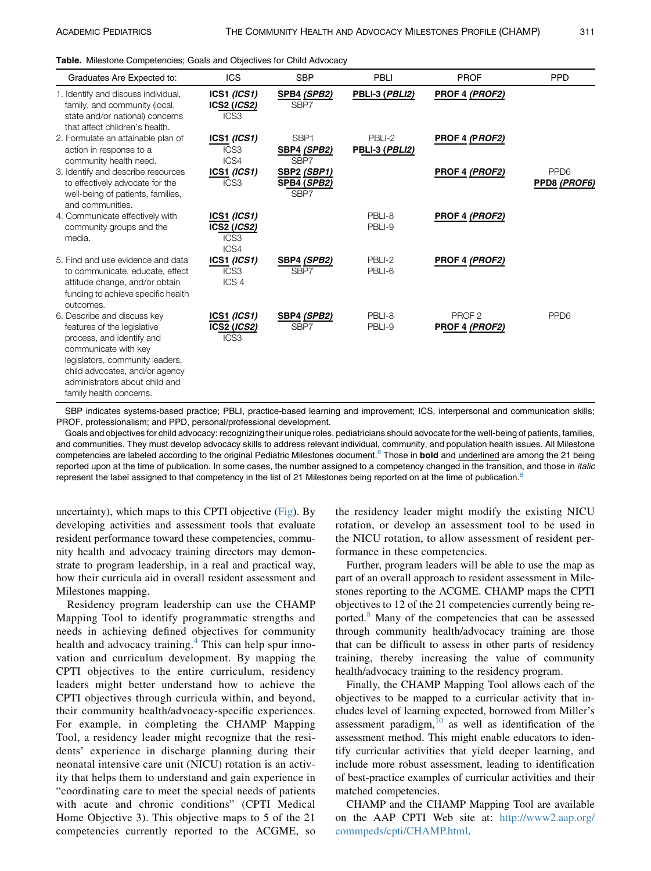<span id="page-2-0"></span>Table. Milestone Competencies; Goals and Objectives for Child Advocacy

| Graduates Are Expected to:                                                                                                                                                                                                                        | <b>ICS</b>                                             | <b>SBP</b>                              | <b>PBLI</b>              | <b>PROF</b>                         | <b>PPD</b>                       |
|---------------------------------------------------------------------------------------------------------------------------------------------------------------------------------------------------------------------------------------------------|--------------------------------------------------------|-----------------------------------------|--------------------------|-------------------------------------|----------------------------------|
| 1. Identify and discuss individual,<br>family, and community (local,<br>state and/or national) concerns<br>that affect children's health.                                                                                                         | ICS1 (ICS1)<br><b>ICS2 (ICS2)</b><br>ICS <sub>3</sub>  | SPB4 (SPB2)<br>SBP7                     | PBLI-3 (PBLI2)           | PROF 4 (PROF2)                      |                                  |
| 2. Formulate an attainable plan of<br>action in response to a<br>community health need.                                                                                                                                                           | ICS1 (ICS1)<br>ICS <sub>3</sub><br>ICS4                | SBP <sub>1</sub><br>SBP4 (SPB2)<br>SBP7 | PBLI-2<br>PBLI-3 (PBLI2) | PROF 4 (PROF2)                      |                                  |
| 3. Identify and describe resources<br>to effectively advocate for the<br>well-being of patients, families,<br>and communities.                                                                                                                    | <u>ICS1</u> (ICS1)<br>ICS <sub>3</sub>                 | SBP2 (SBP1)<br>SPB4 (SPB2)<br>SBP7      |                          | PROF 4 (PROF2)                      | PPD <sub>6</sub><br>PPD8 (PROF6) |
| 4. Communicate effectively with<br>community groups and the<br>media.                                                                                                                                                                             | ICS1 (ICS1)<br>ICS2 (ICS2)<br>ICS <sub>3</sub><br>ICS4 |                                         | PBLI-8<br>PBLI-9         | PROF 4 (PROF2)                      |                                  |
| 5. Find and use evidence and data<br>to communicate, educate, effect<br>attitude change, and/or obtain<br>funding to achieve specific health<br>outcomes.                                                                                         | ICS1 (ICS1)<br>ICS <sub>3</sub><br>ICS <sub>4</sub>    | <b>SBP4 (SPB2)</b><br>SBP7              | PBLI-2<br>PBLI-6         | PROF 4 (PROF2)                      |                                  |
| 6. Describe and discuss key<br>features of the legislative<br>process, and identify and<br>communicate with key<br>legislators, community leaders,<br>child advocates, and/or agency<br>administrators about child and<br>family health concerns. | ICS1 (ICS1)<br>ICS2 ( <i>ICS2)</i><br>ICS <sub>3</sub> | SBP4 (SPB2)<br>SBP7                     | PBLI-8<br>PBLI-9         | PROF <sub>2</sub><br>PROF 4 (PROF2) | PPD <sub>6</sub>                 |

SBP indicates systems-based practice; PBLI, practice-based learning and improvement; ICS, interpersonal and communication skills; PROF, professionalism; and PPD, personal/professional development.

Goals and objectives for child advocacy: recognizing their unique roles, pediatricians should advocate for the well-being of patients, families, and communities. They must develop advocacy skills to address relevant individual, community, and population health issues. All Milestone competencies are labeled according to the original Pediatric Milestones document.<sup>8</sup> Those in **bold** and underlined are among the 21 being reported upon at the time of publication. In some cases, the number assigned to a competency changed in the transition, and those in italic represent the label assigned to that competency in the list of 21 Milestones being reported on at the time of publication.<sup>[8](#page-4-0)</sup>

uncertainty), which maps to this CPTI objective ([Fig](#page-3-0)). By developing activities and assessment tools that evaluate resident performance toward these competencies, community health and advocacy training directors may demonstrate to program leadership, in a real and practical way, how their curricula aid in overall resident assessment and Milestones mapping.

Residency program leadership can use the CHAMP Mapping Tool to identify programmatic strengths and needs in achieving defined objectives for community health and advocacy training.<sup>[4](#page-4-0)</sup> This can help spur innovation and curriculum development. By mapping the CPTI objectives to the entire curriculum, residency leaders might better understand how to achieve the CPTI objectives through curricula within, and beyond, their community health/advocacy-specific experiences. For example, in completing the CHAMP Mapping Tool, a residency leader might recognize that the residents' experience in discharge planning during their neonatal intensive care unit (NICU) rotation is an activity that helps them to understand and gain experience in "coordinating care to meet the special needs of patients with acute and chronic conditions" (CPTI Medical Home Objective 3). This objective maps to 5 of the 21 competencies currently reported to the ACGME, so

the residency leader might modify the existing NICU rotation, or develop an assessment tool to be used in the NICU rotation, to allow assessment of resident performance in these competencies.

Further, program leaders will be able to use the map as part of an overall approach to resident assessment in Milestones reporting to the ACGME. CHAMP maps the CPTI objectives to 12 of the 21 competencies currently being re-ported.<sup>[8](#page-4-0)</sup> Many of the competencies that can be assessed through community health/advocacy training are those that can be difficult to assess in other parts of residency training, thereby increasing the value of community health/advocacy training to the residency program.

Finally, the CHAMP Mapping Tool allows each of the objectives to be mapped to a curricular activity that includes level of learning expected, borrowed from Miller's assessment paradigm, $\frac{10}{10}$  $\frac{10}{10}$  $\frac{10}{10}$  as well as identification of the assessment method. This might enable educators to identify curricular activities that yield deeper learning, and include more robust assessment, leading to identification of best-practice examples of curricular activities and their matched competencies.

CHAMP and the CHAMP Mapping Tool are available on the AAP CPTI Web site at: [http://www2.aap.org/](http://www2.aap.org/commpeds/cpti/CHAMP.html) [commpeds/cpti/CHAMP.html.](http://www2.aap.org/commpeds/cpti/CHAMP.html)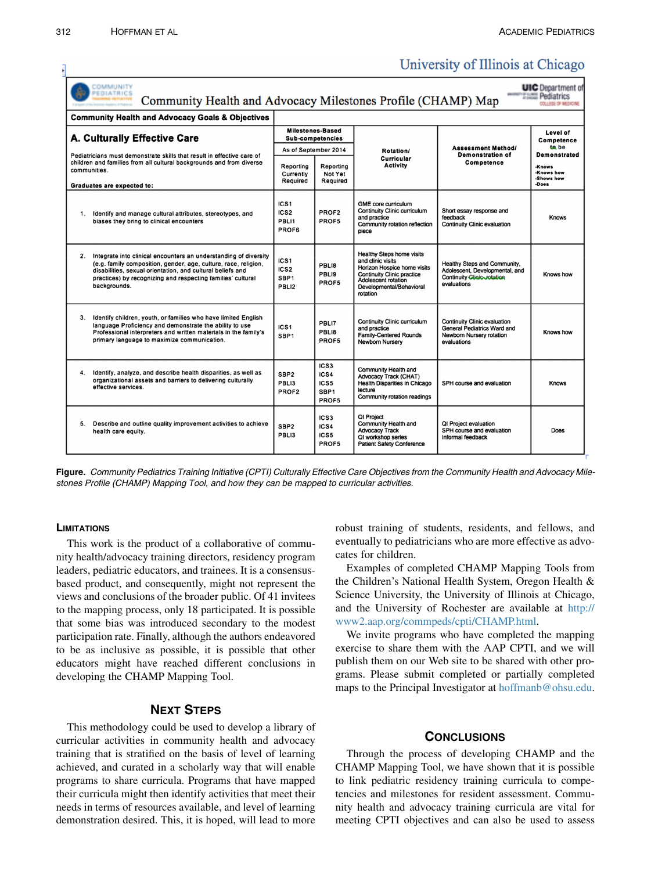# University of Illinois at Chicago

<span id="page-3-0"></span>

| <b>Alle neher milent ni</b><br><b>PEDIATRICS</b><br><b>INTERNATIONAL Pediatrics</b><br>Community Health and Advocacy Milestones Profile (CHAMP) Map<br>COLLEGE OF MEDICINE                                                   |                                                                                                                                                                                                                                                                                  |                                                                   |                                                   |                                                                                                                                                                                          |                                                                                                                    |                                                        |  |  |  |  |
|------------------------------------------------------------------------------------------------------------------------------------------------------------------------------------------------------------------------------|----------------------------------------------------------------------------------------------------------------------------------------------------------------------------------------------------------------------------------------------------------------------------------|-------------------------------------------------------------------|---------------------------------------------------|------------------------------------------------------------------------------------------------------------------------------------------------------------------------------------------|--------------------------------------------------------------------------------------------------------------------|--------------------------------------------------------|--|--|--|--|
|                                                                                                                                                                                                                              | <b>Community Health and Advocacy Goals &amp; Objectives</b>                                                                                                                                                                                                                      |                                                                   |                                                   |                                                                                                                                                                                          |                                                                                                                    |                                                        |  |  |  |  |
| A. Culturally Effective Care<br>Pediatricians must demonstrate skills that result in effective care of<br>children and families from all cultural backgrounds and from diverse<br>communities.<br>Graduates are expected to: |                                                                                                                                                                                                                                                                                  | <b>Milestones-Based</b><br><b>Sub-competencies</b>                |                                                   | Rotation/<br>Curricular                                                                                                                                                                  | <b>Assessment Method/</b><br><b>Demonstration of</b>                                                               | Level of<br>Competence<br>to be<br><b>Demonstrated</b> |  |  |  |  |
|                                                                                                                                                                                                                              |                                                                                                                                                                                                                                                                                  | As of September 2014                                              |                                                   |                                                                                                                                                                                          |                                                                                                                    |                                                        |  |  |  |  |
|                                                                                                                                                                                                                              |                                                                                                                                                                                                                                                                                  | Reporting<br>Currently<br>Required                                | Reporting<br>Not Yet<br>Required                  | <b>Activity</b>                                                                                                                                                                          | Competence                                                                                                         | -Knows<br>-Knows how<br>-Shows how<br>-Does            |  |  |  |  |
|                                                                                                                                                                                                                              | 1. Identify and manage cultural attributes, stereotypes, and<br>biases they bring to clinical encounters                                                                                                                                                                         | ICS <sub>1</sub><br>ICS <sub>2</sub><br>PBLI1<br>PROF6            | PROF2<br>PROF5                                    | GME core curriculum<br>Continuity Clinic curriculum<br>and practice<br>Community rotation reflection<br>piece                                                                            | Short essay response and<br>feedback<br>Continuity Clinic evaluation                                               | Knows                                                  |  |  |  |  |
| 2.                                                                                                                                                                                                                           | Integrate into clinical encounters an understanding of diversity<br>(e.g. family composition, gender, age, culture, race, religion,<br>disabilities, sexual orientation, and cultural beliefs and<br>practices) by recognizing and respecting families' cultural<br>backgrounds. | ICS <sub>1</sub><br>ICS <sub>2</sub><br>SBP <sub>1</sub><br>PBLI2 | PBLI8<br>PBLI9<br>PROF5                           | <b>Healthy Steps home visits</b><br>and clinic visits<br>Horizon Hospice home visits<br><b>Continuity Clinic practice</b><br>Adolescent rotation<br>Developmental/Behavioral<br>rotation | Healthy Steps and Community,<br>Adolescent, Developmental, and<br><b>Continuity Glinic votation</b><br>evaluations | Knows how                                              |  |  |  |  |
| 3.                                                                                                                                                                                                                           | Identify children, youth, or families who have limited English<br>language Proficiency and demonstrate the ability to use<br>Professional interpreters and written materials in the family's<br>primary language to maximize communication.                                      | ICS <sub>1</sub><br>SBP <sub>1</sub>                              | PBLI7<br>PBLI8<br>PROF5                           | <b>Continuity Clinic curriculum</b><br>and practice<br><b>Family-Centered Rounds</b><br>Newborn Nursery                                                                                  | Continuity Clinic evaluation<br>General Pediatrics Ward and<br>Newborn Nursery rotation<br>evaluations             | Knows how                                              |  |  |  |  |
| 4.                                                                                                                                                                                                                           | Identify, analyze, and describe health disparities, as well as<br>organizational assets and barriers to delivering culturally<br>effective services.                                                                                                                             | SBP <sub>2</sub><br>PBLI3<br>PROF2                                | ICS3<br>ICS4<br>ICS5<br>SBP <sub>1</sub><br>PROF5 | Community Health and<br>Advocacy Track (CHAT)<br>Health Disparities in Chicago<br>lecture<br>Community rotation readings                                                                 | SPH course and evaluation                                                                                          | Knows                                                  |  |  |  |  |
| 5.                                                                                                                                                                                                                           | Describe and outline quality improvement activities to achieve<br>health care equity.                                                                                                                                                                                            | SBP <sub>2</sub><br>PBLI3                                         | ICS3<br>ICS4<br>ICS5<br>PROF5                     | QI Project<br>Community Health and<br><b>Advocacy Track</b><br>QI workshop series<br><b>Patient Safety Conference</b>                                                                    | QI Project evaluation<br>SPH course and evaluation<br>Informal feedback                                            | <b>Does</b>                                            |  |  |  |  |

Figure. Community Pediatrics Training Initiative (CPTI) Culturally Effective Care Objectives from the Community Health and Advocacy Milestones Profile (CHAMP) Mapping Tool, and how they can be mapped to curricular activities.

### **LIMITATIONS**

This work is the product of a collaborative of community health/advocacy training directors, residency program leaders, pediatric educators, and trainees. It is a consensusbased product, and consequently, might not represent the views and conclusions of the broader public. Of 41 invitees to the mapping process, only 18 participated. It is possible that some bias was introduced secondary to the modest participation rate. Finally, although the authors endeavored to be as inclusive as possible, it is possible that other educators might have reached different conclusions in developing the CHAMP Mapping Tool.

### NEXT STEPS

This methodology could be used to develop a library of curricular activities in community health and advocacy training that is stratified on the basis of level of learning achieved, and curated in a scholarly way that will enable programs to share curricula. Programs that have mapped their curricula might then identify activities that meet their needs in terms of resources available, and level of learning demonstration desired. This, it is hoped, will lead to more

robust training of students, residents, and fellows, and eventually to pediatricians who are more effective as advocates for children.

Examples of completed CHAMP Mapping Tools from the Children's National Health System, Oregon Health & Science University, the University of Illinois at Chicago, and the University of Rochester are available at [http://](http://www2.aap.org/commpeds/cpti/CHAMP.html) [www2.aap.org/commpeds/cpti/CHAMP.html](http://www2.aap.org/commpeds/cpti/CHAMP.html).

We invite programs who have completed the mapping exercise to share them with the AAP CPTI, and we will publish them on our Web site to be shared with other programs. Please submit completed or partially completed maps to the Principal Investigator at [hoffmanb@ohsu.edu](mailto:hoffmanb@ohsu.edu).

### **CONCLUSIONS**

Through the process of developing CHAMP and the CHAMP Mapping Tool, we have shown that it is possible to link pediatric residency training curricula to competencies and milestones for resident assessment. Community health and advocacy training curricula are vital for meeting CPTI objectives and can also be used to assess